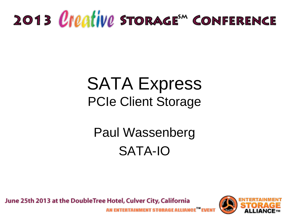# 2013 *Creative* Storage<sup>\*</sup> Conference

#### SATA Express PCIe Client Storage

#### Paul Wassenberg SATA-IO

June 25th 2013 at the DoubleTree Hotel, Culver City, California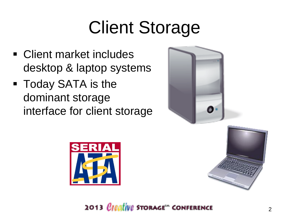# Client Storage

- Client market includes desktop & laptop systems
- **Today SATA is the** dominant storage interface for client storage



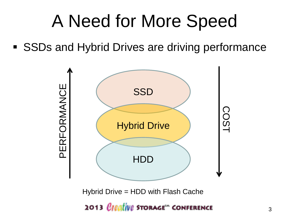### A Need for More Speed

■ SSDs and Hybrid Drives are driving performance



Hybrid Drive = HDD with Flash Cache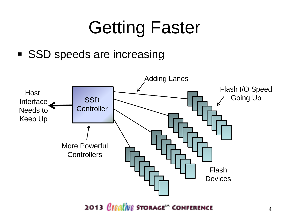# Getting Faster

**SSD** speeds are increasing

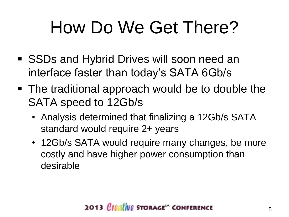# How Do We Get There?

- SSDs and Hybrid Drives will soon need an interface faster than today's SATA 6Gb/s
- The traditional approach would be to double the SATA speed to 12Gb/s
	- Analysis determined that finalizing a 12Gb/s SATA standard would require 2+ years
	- 12Gb/s SATA would require many changes, be more costly and have higher power consumption than desirable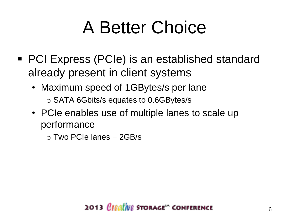### A Better Choice

- PCI Express (PCIe) is an established standard already present in client systems
	- Maximum speed of 1GBytes/s per lane o SATA 6Gbits/s equates to 0.6GBytes/s
	- PCIe enables use of multiple lanes to scale up performance

 $\circ$  Two PCIe lanes = 2GB/s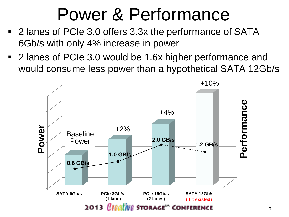### Power & Performance

- 2 lanes of PCIe 3.0 offers 3.3x the performance of SATA 6Gb/s with only 4% increase in power
- 2 lanes of PCIe 3.0 would be 1.6x higher performance and would consume less power than a hypothetical SATA 12Gb/s

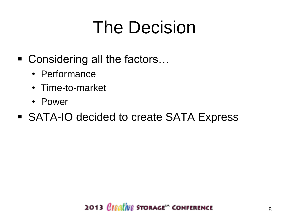### The Decision

- Considering all the factors...
	- Performance
	- Time-to-market
	- Power
- SATA-IO decided to create SATA Express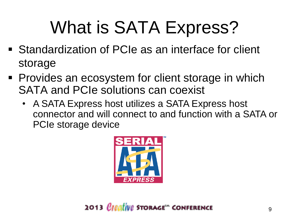## What is SATA Express?

- Standardization of PCIe as an interface for client storage
- **Provides an ecosystem for client storage in which** SATA and PCIe solutions can coexist
	- A SATA Express host utilizes a SATA Express host connector and will connect to and function with a SATA or PCIe storage device

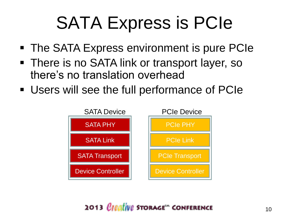### SATA Express is PCIe

- The SATA Express environment is pure PCIe
- **There is no SATA link or transport layer, so** there's no translation overhead
- Users will see the full performance of PCIe

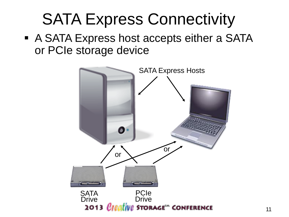#### SATA Express Connectivity

**A SATA Express host accepts either a SATA** or PCIe storage device

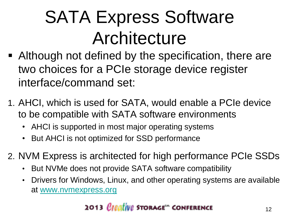## SATA Express Software **Architecture**

- Although not defined by the specification, there are two choices for a PCIe storage device register interface/command set:
- 1. AHCI, which is used for SATA, would enable a PCIe device to be compatible with SATA software environments
	- AHCI is supported in most major operating systems
	- But AHCI is not optimized for SSD performance
- 2. NVM Express is architected for high performance PCIe SSDs
	- But NVMe does not provide SATA software compatibility
	- Drivers for Windows, Linux, and other operating systems are available at [www.nvmexpress.org](http://www.nvmexpress.org/)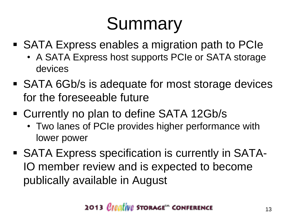# Summary

- SATA Express enables a migration path to PCIe
	- A SATA Express host supports PCIe or SATA storage devices
- SATA 6Gb/s is adequate for most storage devices for the foreseeable future
- Currently no plan to define SATA 12Gb/s
	- Two lanes of PCIe provides higher performance with lower power
- SATA Express specification is currently in SATA-IO member review and is expected to become publically available in August